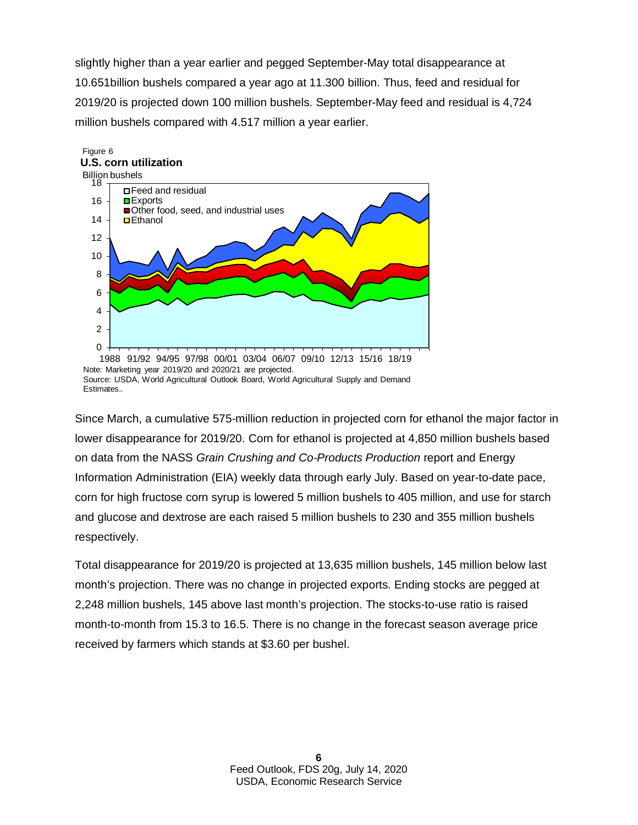slightly higher than a year earlier and pegged September-May total disappearance at 10.651billion bushels compared a year ago at 11.300 billion. Thus, feed and residual for 2019/20 is projected down 100 million bushels. September-May feed and residual is 4,724 million bushels compared with 4.517 million a year earlier.



Source: USDA, World Agricultural Outlook Board, World Agricultural Supply and Demand Estimates.

Since March, a cumulative 575-million reduction in projected corn for ethanol the major factor in lower disappearance for 2019/20. Corn for ethanol is projected at 4,850 million bushels based on data from the NASS *Grain Crushing and Co-Products Production* report and Energy Information Administration (EIA) weekly data through early July. Based on year-to-date pace, corn for high fructose corn syrup is lowered 5 million bushels to 405 million, and use for starch and glucose and dextrose are each raised 5 million bushels to 230 and 355 million bushels respectively.

Total disappearance for 2019/20 is projected at 13,635 million bushels, 145 million below last month's projection. There was no change in projected exports. Ending stocks are pegged at 2,248 million bushels, 145 above last month's projection. The stocks-to-use ratio is raised month-to-month from 15.3 to 16.5. There is no change in the forecast season average price received by farmers which stands at \$3.60 per bushel.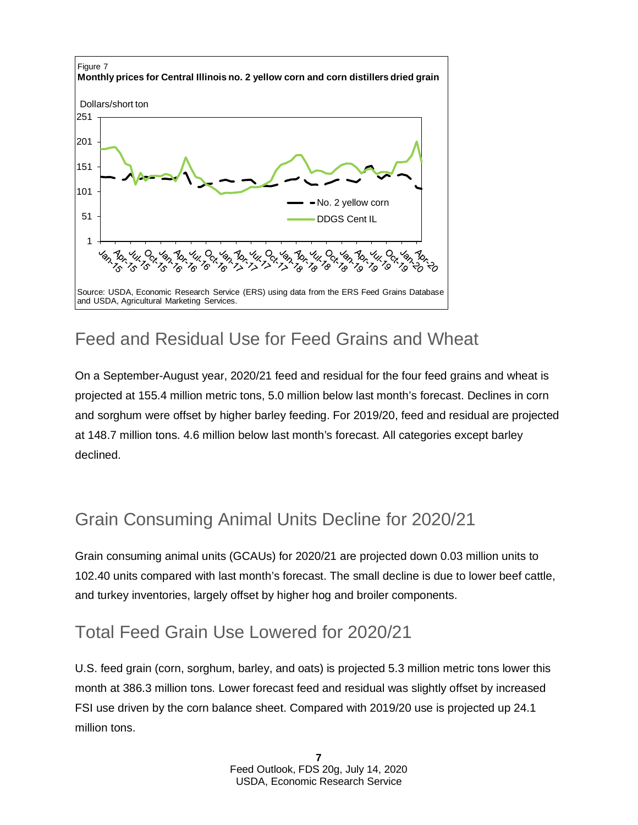

# Feed and Residual Use for Feed Grains and Wheat

On a September-August year, 2020/21 feed and residual for the four feed grains and wheat is projected at 155.4 million metric tons, 5.0 million below last month's forecast. Declines in corn and sorghum were offset by higher barley feeding. For 2019/20, feed and residual are projected at 148.7 million tons. 4.6 million below last month's forecast. All categories except barley declined.

# Grain Consuming Animal Units Decline for 2020/21

Grain consuming animal units (GCAUs) for 2020/21 are projected down 0.03 million units to 102.40 units compared with last month's forecast. The small decline is due to lower beef cattle, and turkey inventories, largely offset by higher hog and broiler components.

### Total Feed Grain Use Lowered for 2020/21

U.S. feed grain (corn, sorghum, barley, and oats) is projected 5.3 million metric tons lower this month at 386.3 million tons. Lower forecast feed and residual was slightly offset by increased FSI use driven by the corn balance sheet. Compared with 2019/20 use is projected up 24.1 million tons.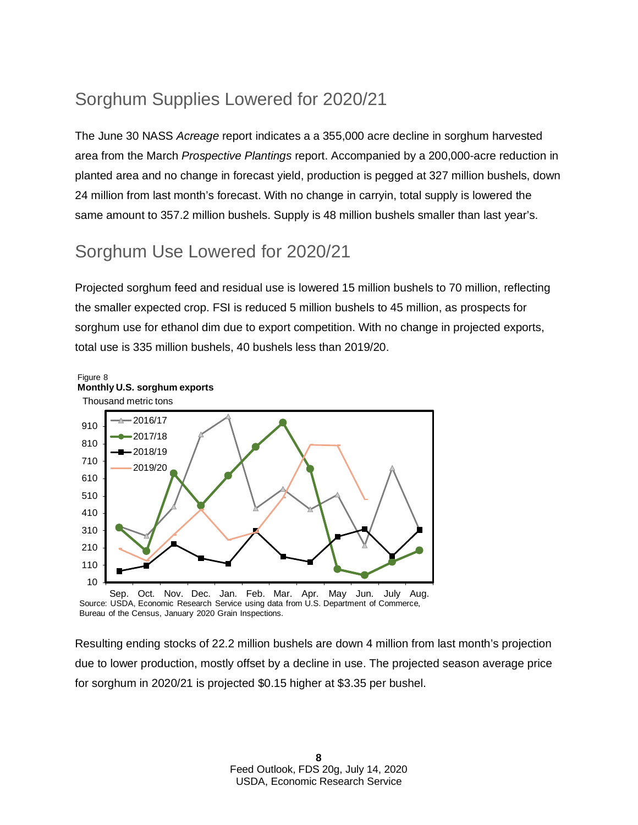# Sorghum Supplies Lowered for 2020/21

The June 30 NASS *Acreage* report indicates a a 355,000 acre decline in sorghum harvested area from the March *Prospective Plantings* report. Accompanied by a 200,000-acre reduction in planted area and no change in forecast yield, production is pegged at 327 million bushels, down 24 million from last month's forecast. With no change in carryin, total supply is lowered the same amount to 357.2 million bushels. Supply is 48 million bushels smaller than last year's.

# Sorghum Use Lowered for 2020/21

Projected sorghum feed and residual use is lowered 15 million bushels to 70 million, reflecting the smaller expected crop. FSI is reduced 5 million bushels to 45 million, as prospects for sorghum use for ethanol dim due to export competition. With no change in projected exports, total use is 335 million bushels, 40 bushels less than 2019/20.



Sep. Oct. Nov. Dec. Jan. Feb. Mar. Apr. May Jun. July Aug. Source: USDA, Economic Research Service using data from U.S. Department of Commerce, Bureau of the Census, January 2020 Grain Inspections.

Resulting ending stocks of 22.2 million bushels are down 4 million from last month's projection due to lower production, mostly offset by a decline in use. The projected season average price for sorghum in 2020/21 is projected \$0.15 higher at \$3.35 per bushel.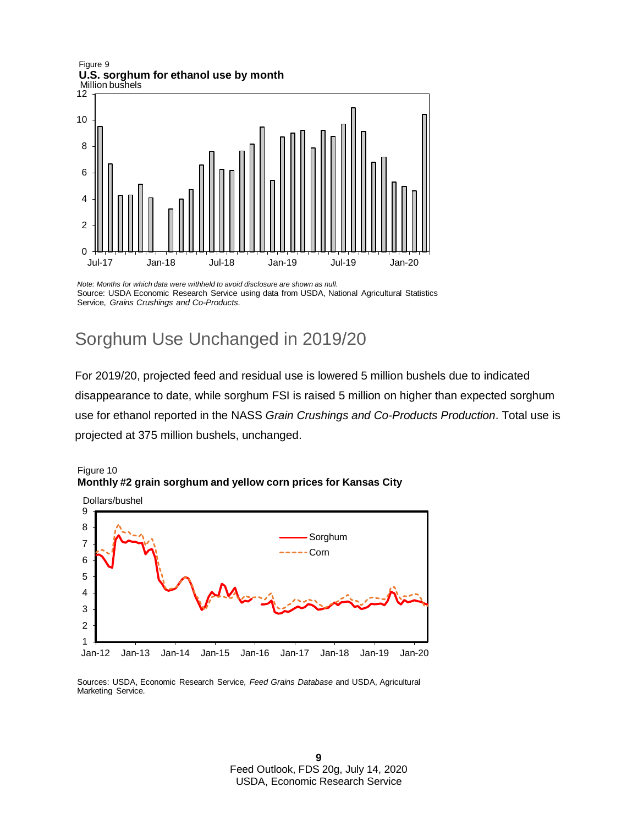Million bushels Figure 9 **U.S. sorghum for ethanol use by month**



*Note: Months for which data were withheld to avoid disclosure are shown as null.* Source: USDA, Economic Research Service using data from USDA, National Agricultural Statistics Service, *Grains Crushings and Co-Products.*

### Sorghum Use Unchanged in 2019/20

For 2019/20, projected feed and residual use is lowered 5 million bushels due to indicated disappearance to date, while sorghum FSI is raised 5 million on higher than expected sorghum use for ethanol reported in the NASS *Grain Crushings and Co-Products Production*. Total use is projected at 375 million bushels, unchanged.





Sources: USDA, Economic Research Service, *Feed Grains Database* and USDA, Agricultural Marketing Service.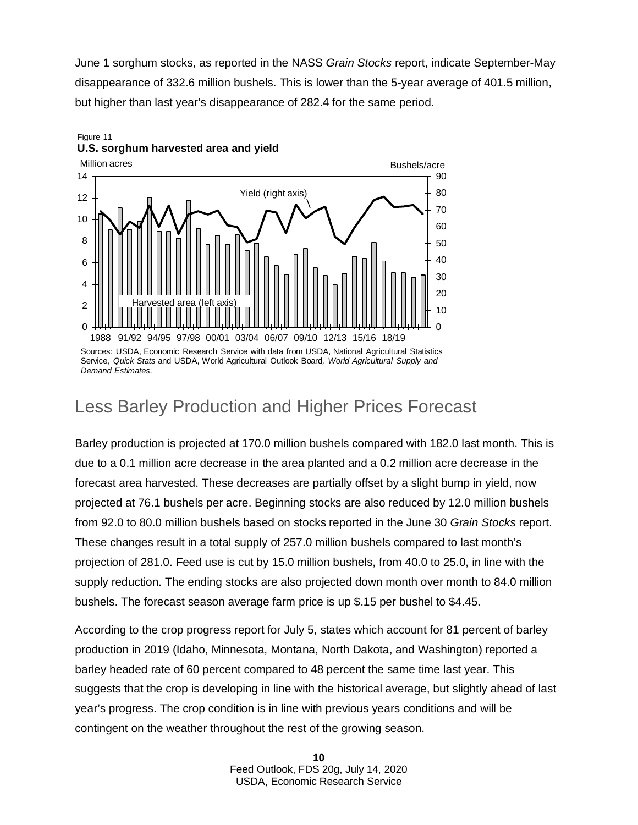June 1 sorghum stocks, as reported in the NASS *Grain Stocks* report, indicate September-May disappearance of 332.6 million bushels. This is lower than the 5-year average of 401.5 million, but higher than last year's disappearance of 282.4 for the same period.

#### Figure 11 **U.S. sorghum harvested area and yield**



Sources: USDA, Economic Research Service with data from USDA, National Agricultural Statistics Service, *Quick Stats* and USDA, World Agricultural Outlook Board*, World Agricultural Supply and Demand Estimates.*

#### Less Barley Production and Higher Prices Forecast

Barley production is projected at 170.0 million bushels compared with 182.0 last month. This is due to a 0.1 million acre decrease in the area planted and a 0.2 million acre decrease in the forecast area harvested. These decreases are partially offset by a slight bump in yield, now projected at 76.1 bushels per acre. Beginning stocks are also reduced by 12.0 million bushels from 92.0 to 80.0 million bushels based on stocks reported in the June 30 *Grain Stocks* report. These changes result in a total supply of 257.0 million bushels compared to last month's projection of 281.0. Feed use is cut by 15.0 million bushels, from 40.0 to 25.0, in line with the supply reduction. The ending stocks are also projected down month over month to 84.0 million bushels. The forecast season average farm price is up \$.15 per bushel to \$4.45.

According to the crop progress report for July 5, states which account for 81 percent of barley production in 2019 (Idaho, Minnesota, Montana, North Dakota, and Washington) reported a barley headed rate of 60 percent compared to 48 percent the same time last year. This suggests that the crop is developing in line with the historical average, but slightly ahead of last year's progress. The crop condition is in line with previous years conditions and will be contingent on the weather throughout the rest of the growing season.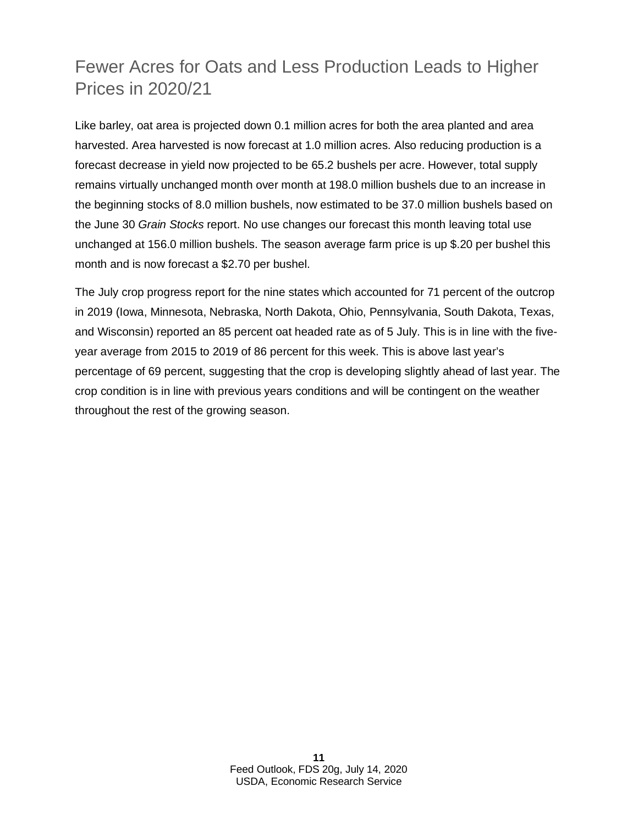# Fewer Acres for Oats and Less Production Leads to Higher Prices in 2020/21

Like barley, oat area is projected down 0.1 million acres for both the area planted and area harvested. Area harvested is now forecast at 1.0 million acres. Also reducing production is a forecast decrease in yield now projected to be 65.2 bushels per acre. However, total supply remains virtually unchanged month over month at 198.0 million bushels due to an increase in the beginning stocks of 8.0 million bushels, now estimated to be 37.0 million bushels based on the June 30 *Grain Stocks* report. No use changes our forecast this month leaving total use unchanged at 156.0 million bushels. The season average farm price is up \$.20 per bushel this month and is now forecast a \$2.70 per bushel.

The July crop progress report for the nine states which accounted for 71 percent of the outcrop in 2019 (Iowa, Minnesota, Nebraska, North Dakota, Ohio, Pennsylvania, South Dakota, Texas, and Wisconsin) reported an 85 percent oat headed rate as of 5 July. This is in line with the fiveyear average from 2015 to 2019 of 86 percent for this week. This is above last year's percentage of 69 percent, suggesting that the crop is developing slightly ahead of last year. The crop condition is in line with previous years conditions and will be contingent on the weather throughout the rest of the growing season.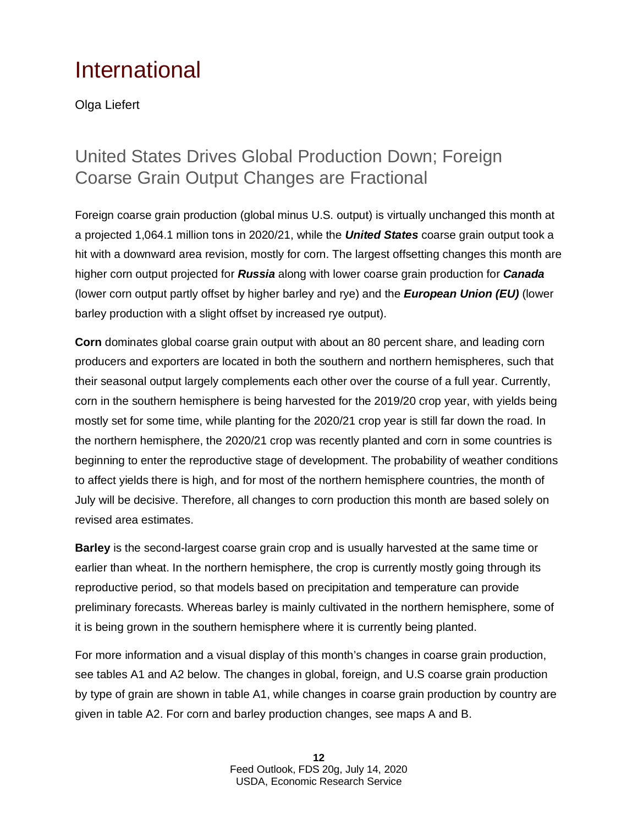# International

Olga Liefert

# United States Drives Global Production Down; Foreign Coarse Grain Output Changes are Fractional

Foreign coarse grain production (global minus U.S. output) is virtually unchanged this month at a projected 1,064.1 million tons in 2020/21, while the *United States* coarse grain output took a hit with a downward area revision, mostly for corn. The largest offsetting changes this month are higher corn output projected for *Russia* along with lower coarse grain production for *Canada* (lower corn output partly offset by higher barley and rye) and the *European Union (EU)* (lower barley production with a slight offset by increased rye output).

**Corn** dominates global coarse grain output with about an 80 percent share, and leading corn producers and exporters are located in both the southern and northern hemispheres, such that their seasonal output largely complements each other over the course of a full year. Currently, corn in the southern hemisphere is being harvested for the 2019/20 crop year, with yields being mostly set for some time, while planting for the 2020/21 crop year is still far down the road. In the northern hemisphere, the 2020/21 crop was recently planted and corn in some countries is beginning to enter the reproductive stage of development. The probability of weather conditions to affect yields there is high, and for most of the northern hemisphere countries, the month of July will be decisive. Therefore, all changes to corn production this month are based solely on revised area estimates.

**Barley** is the second-largest coarse grain crop and is usually harvested at the same time or earlier than wheat. In the northern hemisphere, the crop is currently mostly going through its reproductive period, so that models based on precipitation and temperature can provide preliminary forecasts. Whereas barley is mainly cultivated in the northern hemisphere, some of it is being grown in the southern hemisphere where it is currently being planted.

For more information and a visual display of this month's changes in coarse grain production, see tables A1 and A2 below. The changes in global, foreign, and U.S coarse grain production by type of grain are shown in table A1, while changes in coarse grain production by country are given in table A2. For corn and barley production changes, see maps A and B.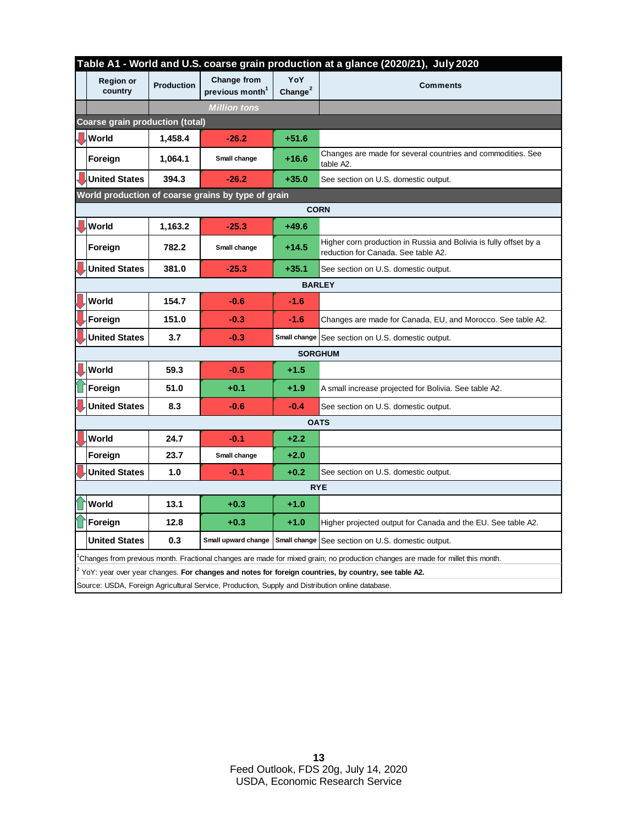|                                        | Table A1 - World and U.S. coarse grain production at a glance (2020/21), July 2020                                              |                   |                                                   |                    |                                                                                                          |  |  |  |  |  |
|----------------------------------------|---------------------------------------------------------------------------------------------------------------------------------|-------------------|---------------------------------------------------|--------------------|----------------------------------------------------------------------------------------------------------|--|--|--|--|--|
|                                        | <b>Region or</b><br>country                                                                                                     | <b>Production</b> | <b>Change from</b><br>previous month <sup>1</sup> | YoY<br>Change $^2$ | <b>Comments</b>                                                                                          |  |  |  |  |  |
|                                        |                                                                                                                                 |                   | <b>Million tons</b>                               |                    |                                                                                                          |  |  |  |  |  |
| <b>Coarse grain production (total)</b> |                                                                                                                                 |                   |                                                   |                    |                                                                                                          |  |  |  |  |  |
|                                        | <b>World</b>                                                                                                                    | 1,458.4           | $-26.2$                                           | $+51.6$            |                                                                                                          |  |  |  |  |  |
|                                        | Foreign                                                                                                                         | 1,064.1           | Small change                                      | $+16.6$            | Changes are made for several countries and commodities. See<br>table A2.                                 |  |  |  |  |  |
|                                        | <b>United States</b>                                                                                                            | 394.3             | -26.2                                             | $+35.0$            | See section on U.S. domestic output.                                                                     |  |  |  |  |  |
|                                        | World production of coarse grains by type of grain                                                                              |                   |                                                   |                    |                                                                                                          |  |  |  |  |  |
| <b>CORN</b>                            |                                                                                                                                 |                   |                                                   |                    |                                                                                                          |  |  |  |  |  |
|                                        | <b>U</b> World                                                                                                                  | 1,163.2           | $-25.3$                                           | $+49.6$            |                                                                                                          |  |  |  |  |  |
|                                        | Foreign                                                                                                                         | 782.2             | Small change                                      | $+14.5$            | Higher corn production in Russia and Bolivia is fully offset by a<br>reduction for Canada. See table A2. |  |  |  |  |  |
|                                        | <b>United States</b>                                                                                                            | 381.0             | $-25.3$                                           | $+35.1$            | See section on U.S. domestic output.                                                                     |  |  |  |  |  |
| <b>BARLEY</b>                          |                                                                                                                                 |                   |                                                   |                    |                                                                                                          |  |  |  |  |  |
|                                        | World                                                                                                                           | 154.7             | $-0.6$                                            | $-1.6$             |                                                                                                          |  |  |  |  |  |
|                                        | Foreign                                                                                                                         | 151.0             | $-0.3$                                            | $-1.6$             | Changes are made for Canada, EU, and Morocco. See table A2.                                              |  |  |  |  |  |
|                                        | <b>United States</b>                                                                                                            | 3.7               | $-0.3$                                            |                    | Small change See section on U.S. domestic output.                                                        |  |  |  |  |  |
|                                        |                                                                                                                                 |                   |                                                   | <b>SORGHUM</b>     |                                                                                                          |  |  |  |  |  |
|                                        | World                                                                                                                           | 59.3              | $-0.5$                                            | $+1.5$             |                                                                                                          |  |  |  |  |  |
|                                        | Foreign                                                                                                                         | 51.0              | $+0.1$                                            | $+1.9$             | A small increase projected for Bolivia. See table A2.                                                    |  |  |  |  |  |
|                                        | <b>United States</b>                                                                                                            | 8.3               | $-0.6$                                            | $-0.4$             | See section on U.S. domestic output.                                                                     |  |  |  |  |  |
| <b>OATS</b>                            |                                                                                                                                 |                   |                                                   |                    |                                                                                                          |  |  |  |  |  |
|                                        | World                                                                                                                           | 24.7              | $-0.1$                                            | $+2.2$             |                                                                                                          |  |  |  |  |  |
|                                        | Foreign                                                                                                                         | 23.7              | Small change                                      | $+2.0$             |                                                                                                          |  |  |  |  |  |
|                                        | <b>United States</b>                                                                                                            | 1.0               | $-0.1$                                            | $+0.2$             | See section on U.S. domestic output.                                                                     |  |  |  |  |  |
| <b>RYE</b>                             |                                                                                                                                 |                   |                                                   |                    |                                                                                                          |  |  |  |  |  |
|                                        | World                                                                                                                           | 13.1              | $+0.3$                                            | $+1.0$             |                                                                                                          |  |  |  |  |  |
|                                        | Foreign                                                                                                                         | 12.8              | $+0.3$                                            | $+1.0$             | Higher projected output for Canada and the EU. See table A2.                                             |  |  |  |  |  |
|                                        | <b>United States</b>                                                                                                            | 0.3               |                                                   |                    | Small upward change   Small change   See section on U.S. domestic output.                                |  |  |  |  |  |
|                                        | Changes from previous month. Fractional changes are made for mixed grain; no production changes are made for millet this month. |                   |                                                   |                    |                                                                                                          |  |  |  |  |  |
|                                        | YoY: year over year changes. For changes and notes for foreign countries, by country, see table A2.                             |                   |                                                   |                    |                                                                                                          |  |  |  |  |  |
|                                        | Source: USDA, Foreign Agricultural Service, Production, Supply and Distribution online database.                                |                   |                                                   |                    |                                                                                                          |  |  |  |  |  |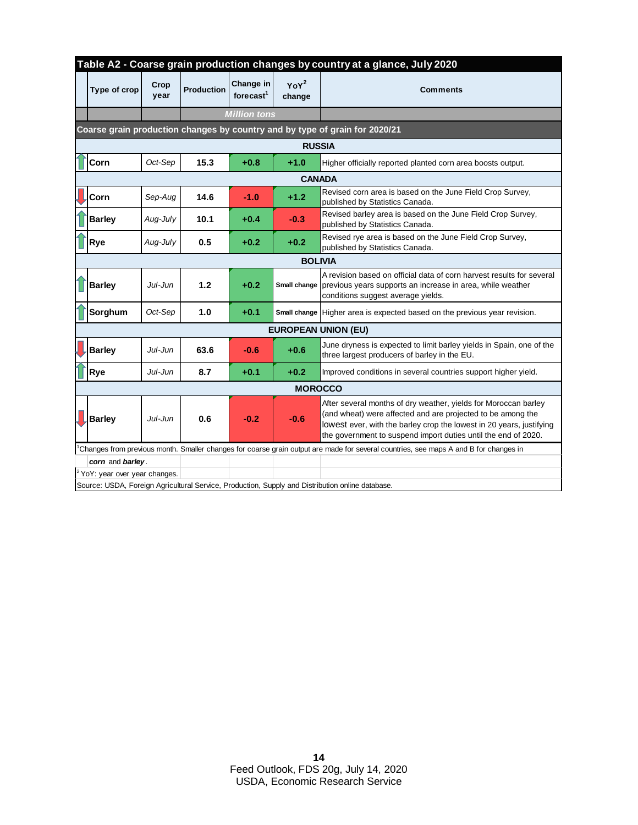| Table A2 - Coarse grain production changes by country at a glance, July 2020                                                         |                                  |              |                   |                                    |                   |                                                                                                                                                                                                                                                                          |  |  |  |  |
|--------------------------------------------------------------------------------------------------------------------------------------|----------------------------------|--------------|-------------------|------------------------------------|-------------------|--------------------------------------------------------------------------------------------------------------------------------------------------------------------------------------------------------------------------------------------------------------------------|--|--|--|--|
|                                                                                                                                      | Type of crop                     | Crop<br>year | <b>Production</b> | Change in<br>forecast <sup>1</sup> | $YoY^2$<br>change | <b>Comments</b>                                                                                                                                                                                                                                                          |  |  |  |  |
|                                                                                                                                      |                                  |              |                   | <b>Million tons</b>                |                   |                                                                                                                                                                                                                                                                          |  |  |  |  |
| Coarse grain production changes by country and by type of grain for 2020/21                                                          |                                  |              |                   |                                    |                   |                                                                                                                                                                                                                                                                          |  |  |  |  |
|                                                                                                                                      | <b>RUSSIA</b>                    |              |                   |                                    |                   |                                                                                                                                                                                                                                                                          |  |  |  |  |
|                                                                                                                                      | Corn                             | Oct-Sep      | 15.3              | $+0.8$                             | $+1.0$            | Higher officially reported planted corn area boosts output.                                                                                                                                                                                                              |  |  |  |  |
| <b>CANADA</b>                                                                                                                        |                                  |              |                   |                                    |                   |                                                                                                                                                                                                                                                                          |  |  |  |  |
|                                                                                                                                      | <b>Corn</b>                      | Sep-Aug      | 14.6              | $-1.0$                             | $+1.2$            | Revised corn area is based on the June Field Crop Survey,<br>published by Statistics Canada.                                                                                                                                                                             |  |  |  |  |
|                                                                                                                                      | <b>Barley</b>                    | Aug-July     | 10.1              | $+0.4$                             | $-0.3$            | Revised barley area is based on the June Field Crop Survey,<br>published by Statistics Canada.                                                                                                                                                                           |  |  |  |  |
|                                                                                                                                      | <b>Rye</b>                       | Aug-July     | 0.5               | $+0.2$                             | $+0.2$            | Revised rye area is based on the June Field Crop Survey,<br>published by Statistics Canada.                                                                                                                                                                              |  |  |  |  |
| <b>BOLIVIA</b>                                                                                                                       |                                  |              |                   |                                    |                   |                                                                                                                                                                                                                                                                          |  |  |  |  |
|                                                                                                                                      | <b>Barley</b>                    | Jul-Jun      | 1.2               | $+0.2$                             | Small change      | A revision based on official data of corn harvest results for several<br>previous years supports an increase in area, while weather<br>conditions suggest average yields.                                                                                                |  |  |  |  |
|                                                                                                                                      | Sorghum                          | Oct-Sep      | 1.0               | $+0.1$                             | Small change      | Higher area is expected based on the previous year revision.                                                                                                                                                                                                             |  |  |  |  |
| <b>EUROPEAN UNION (EU)</b>                                                                                                           |                                  |              |                   |                                    |                   |                                                                                                                                                                                                                                                                          |  |  |  |  |
|                                                                                                                                      | <b>Barley</b>                    | Jul-Jun      | 63.6              | $-0.6$                             | $+0.6$            | June dryness is expected to limit barley yields in Spain, one of the<br>three largest producers of barley in the EU.                                                                                                                                                     |  |  |  |  |
|                                                                                                                                      | Rye                              | Jul-Jun      | 8.7               | $+0.1$                             | $+0.2$            | Improved conditions in several countries support higher yield.                                                                                                                                                                                                           |  |  |  |  |
| <b>MOROCCO</b>                                                                                                                       |                                  |              |                   |                                    |                   |                                                                                                                                                                                                                                                                          |  |  |  |  |
|                                                                                                                                      | Barley                           | Jul-Jun      | 0.6               | $-0.2$                             | $-0.6$            | After several months of dry weather, yields for Moroccan barley<br>(and wheat) were affected and are projected to be among the<br>lowest ever, with the barley crop the lowest in 20 years, justifying<br>the government to suspend import duties until the end of 2020. |  |  |  |  |
| Changes from previous month. Smaller changes for coarse grain output are made for several countries, see maps A and B for changes in |                                  |              |                   |                                    |                   |                                                                                                                                                                                                                                                                          |  |  |  |  |
|                                                                                                                                      | corn and barley.                 |              |                   |                                    |                   |                                                                                                                                                                                                                                                                          |  |  |  |  |
|                                                                                                                                      | $2$ YoY: year over year changes. |              |                   |                                    |                   | Source: USDA, Foreign Agricultural Service, Production, Supply and Distribution online database.                                                                                                                                                                         |  |  |  |  |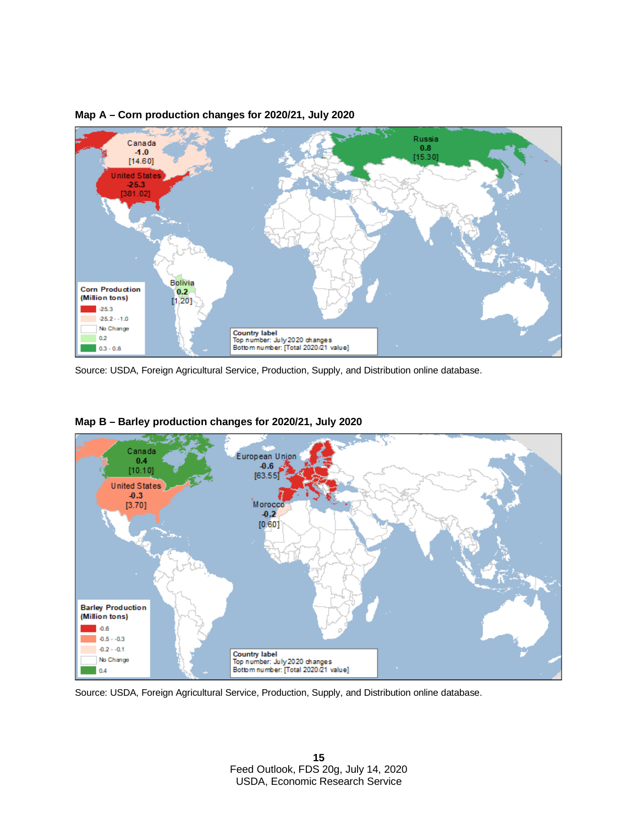

#### **Map A – Corn production changes for 2020/21, July 2020**



#### **Map B – Barley production changes for 2020/21, July 2020**

Source: USDA, Foreign Agricultural Service, Production, Supply, and Distribution online database.

Source: USDA, Foreign Agricultural Service, Production, Supply, and Distribution online database.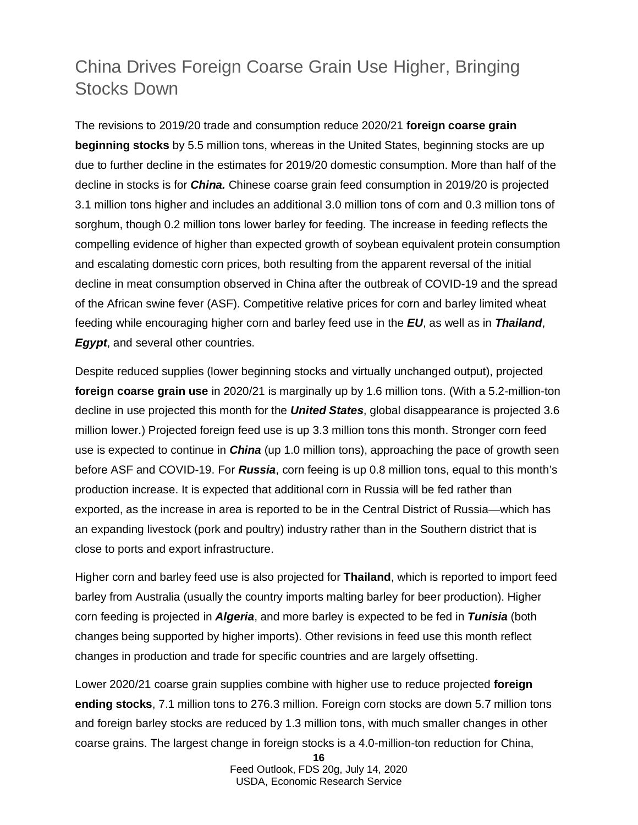# China Drives Foreign Coarse Grain Use Higher, Bringing Stocks Down

The revisions to 2019/20 trade and consumption reduce 2020/21 **foreign coarse grain beginning stocks** by 5.5 million tons, whereas in the United States, beginning stocks are up due to further decline in the estimates for 2019/20 domestic consumption. More than half of the decline in stocks is for *China.* Chinese coarse grain feed consumption in 2019/20 is projected 3.1 million tons higher and includes an additional 3.0 million tons of corn and 0.3 million tons of sorghum, though 0.2 million tons lower barley for feeding. The increase in feeding reflects the compelling evidence of higher than expected growth of soybean equivalent protein consumption and escalating domestic corn prices, both resulting from the apparent reversal of the initial decline in meat consumption observed in China after the outbreak of COVID-19 and the spread of the African swine fever (ASF). Competitive relative prices for corn and barley limited wheat feeding while encouraging higher corn and barley feed use in the *EU*, as well as in *Thailand*, *Egypt*, and several other countries.

Despite reduced supplies (lower beginning stocks and virtually unchanged output), projected **foreign coarse grain use** in 2020/21 is marginally up by 1.6 million tons. (With a 5.2-million-ton decline in use projected this month for the *United States*, global disappearance is projected 3.6 million lower.) Projected foreign feed use is up 3.3 million tons this month. Stronger corn feed use is expected to continue in *China* (up 1.0 million tons), approaching the pace of growth seen before ASF and COVID-19. For *Russia*, corn feeing is up 0.8 million tons, equal to this month's production increase. It is expected that additional corn in Russia will be fed rather than exported, as the increase in area is reported to be in the Central District of Russia—which has an expanding livestock (pork and poultry) industry rather than in the Southern district that is close to ports and export infrastructure.

Higher corn and barley feed use is also projected for **Thailand**, which is reported to import feed barley from Australia (usually the country imports malting barley for beer production). Higher corn feeding is projected in *Algeria*, and more barley is expected to be fed in *Tunisia* (both changes being supported by higher imports). Other revisions in feed use this month reflect changes in production and trade for specific countries and are largely offsetting.

Lower 2020/21 coarse grain supplies combine with higher use to reduce projected **foreign ending stocks**, 7.1 million tons to 276.3 million. Foreign corn stocks are down 5.7 million tons and foreign barley stocks are reduced by 1.3 million tons, with much smaller changes in other coarse grains. The largest change in foreign stocks is a 4.0-million-ton reduction for China,

Feed Outlook, FDS 20g, July 14, 2020 USDA, Economic Research Service

**<sup>16</sup>**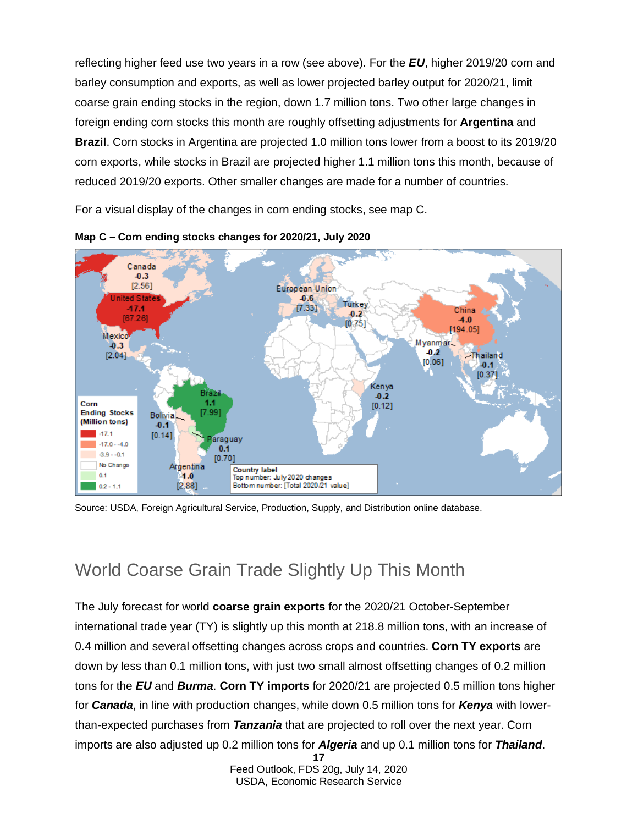reflecting higher feed use two years in a row (see above). For the *EU*, higher 2019/20 corn and barley consumption and exports, as well as lower projected barley output for 2020/21, limit coarse grain ending stocks in the region, down 1.7 million tons. Two other large changes in foreign ending corn stocks this month are roughly offsetting adjustments for **Argentina** and **Brazil**. Corn stocks in Argentina are projected 1.0 million tons lower from a boost to its 2019/20 corn exports, while stocks in Brazil are projected higher 1.1 million tons this month, because of reduced 2019/20 exports. Other smaller changes are made for a number of countries.

For a visual display of the changes in corn ending stocks, see map C.





### World Coarse Grain Trade Slightly Up This Month

**17** The July forecast for world **coarse grain exports** for the 2020/21 October-September international trade year (TY) is slightly up this month at 218.8 million tons, with an increase of 0.4 million and several offsetting changes across crops and countries. **Corn TY exports** are down by less than 0.1 million tons, with just two small almost offsetting changes of 0.2 million tons for the *EU* and *Burma*. **Corn TY imports** for 2020/21 are projected 0.5 million tons higher for *Canada*, in line with production changes, while down 0.5 million tons for *Kenya* with lowerthan-expected purchases from *Tanzania* that are projected to roll over the next year. Corn imports are also adjusted up 0.2 million tons for *Algeria* and up 0.1 million tons for *Thailand*.

> Feed Outlook, FDS 20g, July 14, 2020 USDA, Economic Research Service

Source: USDA, Foreign Agricultural Service, Production, Supply, and Distribution online database.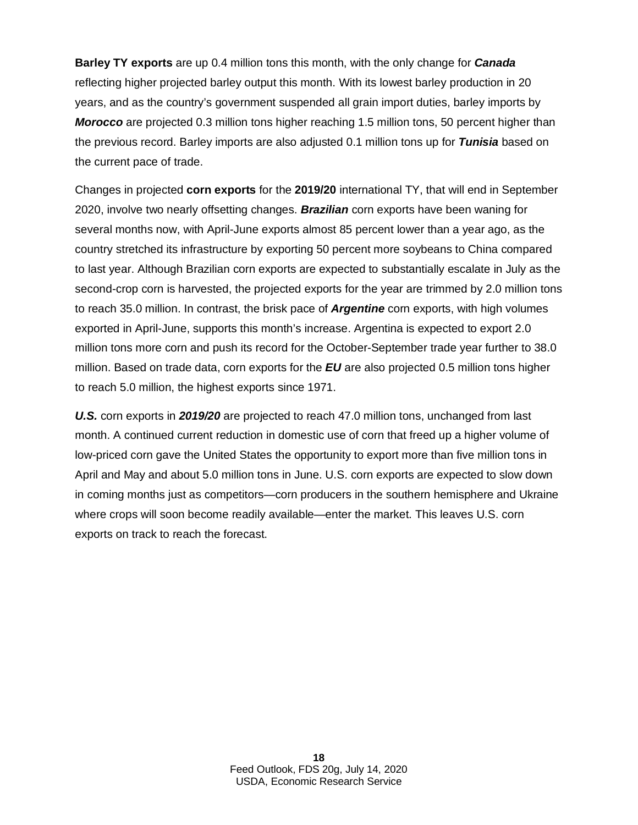**Barley TY exports** are up 0.4 million tons this month, with the only change for *Canada* reflecting higher projected barley output this month. With its lowest barley production in 20 years, and as the country's government suspended all grain import duties, barley imports by *Morocco* are projected 0.3 million tons higher reaching 1.5 million tons, 50 percent higher than the previous record. Barley imports are also adjusted 0.1 million tons up for *Tunisia* based on the current pace of trade.

Changes in projected **corn exports** for the **2019/20** international TY, that will end in September 2020, involve two nearly offsetting changes. *Brazilian* corn exports have been waning for several months now, with April-June exports almost 85 percent lower than a year ago, as the country stretched its infrastructure by exporting 50 percent more soybeans to China compared to last year. Although Brazilian corn exports are expected to substantially escalate in July as the second-crop corn is harvested, the projected exports for the year are trimmed by 2.0 million tons to reach 35.0 million. In contrast, the brisk pace of *Argentine* corn exports, with high volumes exported in April-June, supports this month's increase. Argentina is expected to export 2.0 million tons more corn and push its record for the October-September trade year further to 38.0 million. Based on trade data, corn exports for the *EU* are also projected 0.5 million tons higher to reach 5.0 million, the highest exports since 1971.

*U.S.* corn exports in *2019/20* are projected to reach 47.0 million tons, unchanged from last month. A continued current reduction in domestic use of corn that freed up a higher volume of low-priced corn gave the United States the opportunity to export more than five million tons in April and May and about 5.0 million tons in June. U.S. corn exports are expected to slow down in coming months just as competitors—corn producers in the southern hemisphere and Ukraine where crops will soon become readily available—enter the market. This leaves U.S. corn exports on track to reach the forecast.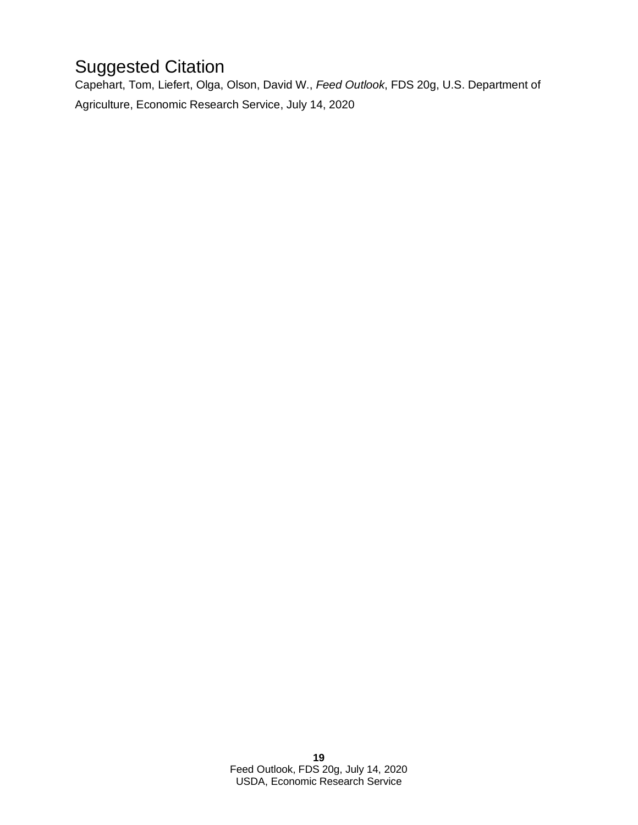# Suggested Citation

Capehart, Tom, Liefert, Olga, Olson, David W., *Feed Outlook*, FDS 20g, U.S. Department of Agriculture, Economic Research Service, July 14, 2020.